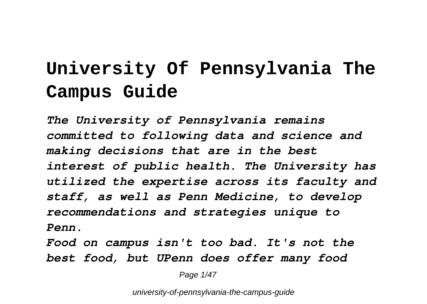# **University Of Pennsylvania The Campus Guide**

*The University of Pennsylvania remains committed to following data and science and making decisions that are in the best interest of public health. The University has utilized the expertise across its faculty and staff, as well as Penn Medicine, to develop recommendations and strategies unique to Penn.*

*Food on campus isn't too bad. It's not the best food, but UPenn does offer many food*

Page 1/47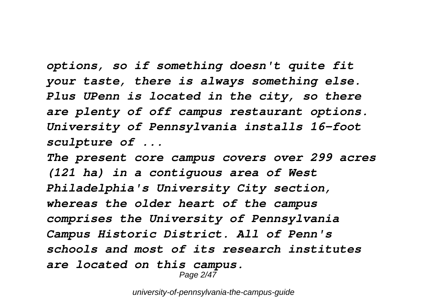*options, so if something doesn't quite fit your taste, there is always something else. Plus UPenn is located in the city, so there are plenty of off campus restaurant options. University of Pennsylvania installs 16-foot sculpture of ...*

*The present core campus covers over 299 acres (121 ha) in a contiguous area of West Philadelphia's University City section, whereas the older heart of the campus comprises the University of Pennsylvania Campus Historic District. All of Penn's schools and most of its research institutes are located on this campus.*

Page 2/47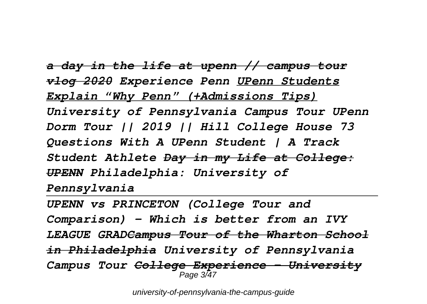*a day in the life at upenn // campus tour vlog 2020 Experience Penn UPenn Students Explain "Why Penn" (+Admissions Tips) University of Pennsylvania Campus Tour UPenn Dorm Tour || 2019 || Hill College House 73 Questions With A UPenn Student | A Track Student Athlete Day in my Life at College: UPENN Philadelphia: University of Pennsylvania*

*UPENN vs PRINCETON (College Tour and Comparison) - Which is better from an IVY LEAGUE GRADCampus Tour of the Wharton School in Philadelphia University of Pennsylvania Campus Tour College Experience - University* Page 3/47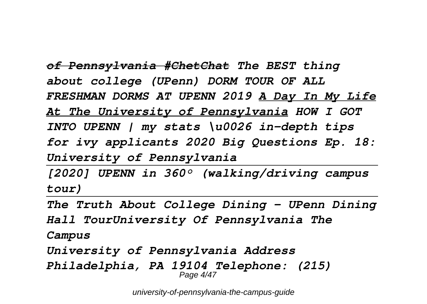*of Pennsylvania #ChetChat The BEST thing about college (UPenn) DORM TOUR OF ALL FRESHMAN DORMS AT UPENN 2019 A Day In My Life At The University of Pennsylvania HOW I GOT INTO UPENN | my stats \u0026 in-depth tips for ivy applicants 2020 Big Questions Ep. 18: University of Pennsylvania*

*[2020] UPENN in 360° (walking/driving campus tour)*

*The Truth About College Dining - UPenn Dining Hall TourUniversity Of Pennsylvania The Campus*

*University of Pennsylvania Address Philadelphia, PA 19104 Telephone: (215)* Page 4/47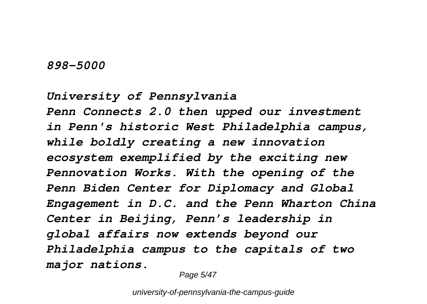#### *898-5000*

*University of Pennsylvania Penn Connects 2.0 then upped our investment in Penn's historic West Philadelphia campus, while boldly creating a new innovation ecosystem exemplified by the exciting new Pennovation Works. With the opening of the Penn Biden Center for Diplomacy and Global Engagement in D.C. and the Penn Wharton China Center in Beijing, Penn's leadership in global affairs now extends beyond our Philadelphia campus to the capitals of two major nations.*

Page 5/47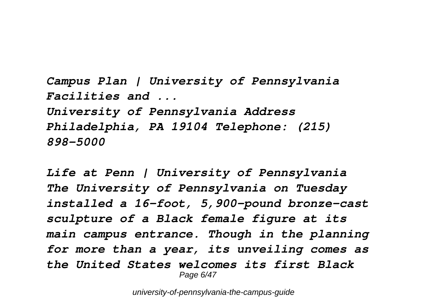*Campus Plan | University of Pennsylvania Facilities and ... University of Pennsylvania Address Philadelphia, PA 19104 Telephone: (215) 898-5000*

*Life at Penn | University of Pennsylvania The University of Pennsylvania on Tuesday installed a 16-foot, 5,900-pound bronze-cast sculpture of a Black female figure at its main campus entrance. Though in the planning for more than a year, its unveiling comes as the United States welcomes its first Black* Page 6/47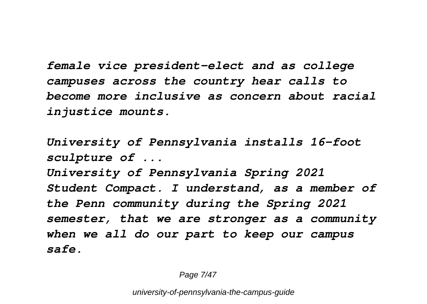*female vice president-elect and as college campuses across the country hear calls to become more inclusive as concern about racial injustice mounts.*

*University of Pennsylvania installs 16-foot sculpture of ...*

*University of Pennsylvania Spring 2021 Student Compact. I understand, as a member of the Penn community during the Spring 2021 semester, that we are stronger as a community when we all do our part to keep our campus safe.*

Page 7/47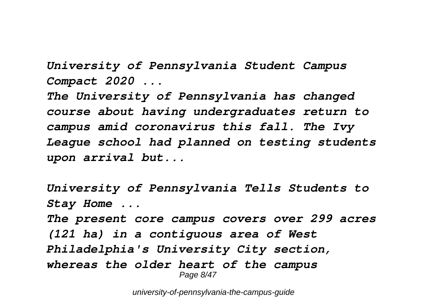*University of Pennsylvania Student Campus Compact 2020 ...*

*The University of Pennsylvania has changed course about having undergraduates return to campus amid coronavirus this fall. The Ivy League school had planned on testing students upon arrival but...*

```
University of Pennsylvania Tells Students to
Stay Home ...
The present core campus covers over 299 acres
(121 ha) in a contiguous area of West
Philadelphia's University City section,
whereas the older heart of the campus
                  Page 8/47
```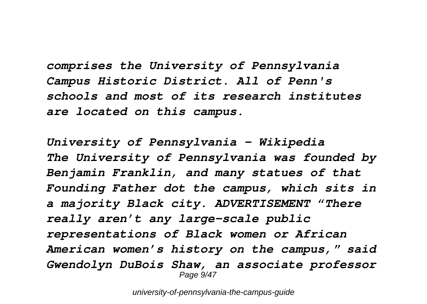*comprises the University of Pennsylvania Campus Historic District. All of Penn's schools and most of its research institutes are located on this campus.*

*University of Pennsylvania - Wikipedia The University of Pennsylvania was founded by Benjamin Franklin, and many statues of that Founding Father dot the campus, which sits in a majority Black city. ADVERTISEMENT "There really aren't any large-scale public representations of Black women or African American women's history on the campus," said Gwendolyn DuBois Shaw, an associate professor* Page  $9/47$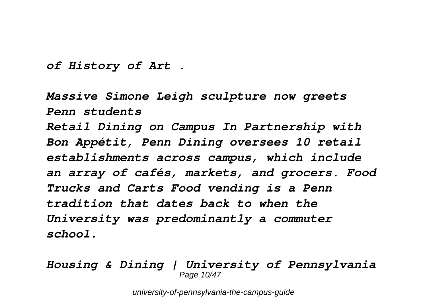*of History of Art .*

*Massive Simone Leigh sculpture now greets Penn students Retail Dining on Campus In Partnership with Bon Appétit, Penn Dining oversees 10 retail establishments across campus, which include an array of cafés, markets, and grocers. Food Trucks and Carts Food vending is a Penn tradition that dates back to when the University was predominantly a commuter school.*

#### *Housing & Dining | University of Pennsylvania* Page 10/47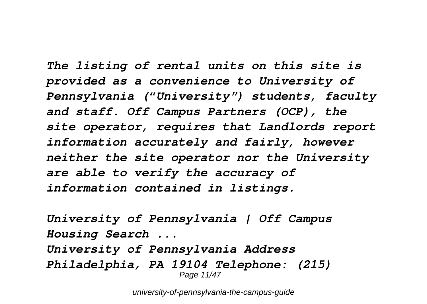*The listing of rental units on this site is provided as a convenience to University of Pennsylvania ("University") students, faculty and staff. Off Campus Partners (OCP), the site operator, requires that Landlords report information accurately and fairly, however neither the site operator nor the University are able to verify the accuracy of information contained in listings.*

*University of Pennsylvania | Off Campus Housing Search ... University of Pennsylvania Address Philadelphia, PA 19104 Telephone: (215)* Page 11/47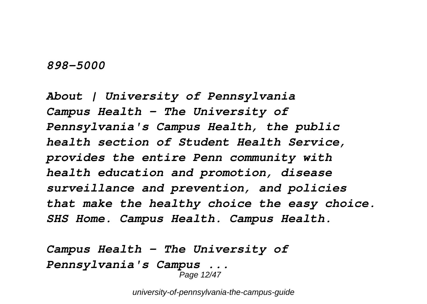#### *898-5000*

*About | University of Pennsylvania Campus Health – The University of Pennsylvania's Campus Health, the public health section of Student Health Service, provides the entire Penn community with health education and promotion, disease surveillance and prevention, and policies that make the healthy choice the easy choice. SHS Home. Campus Health. Campus Health.*

```
Campus Health – The University of
Pennsylvania's Campus ...
                    Page 12/47
```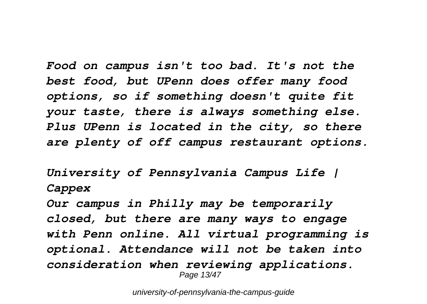*Food on campus isn't too bad. It's not the best food, but UPenn does offer many food options, so if something doesn't quite fit your taste, there is always something else. Plus UPenn is located in the city, so there are plenty of off campus restaurant options.*

*University of Pennsylvania Campus Life | Cappex*

*Our campus in Philly may be temporarily closed, but there are many ways to engage with Penn online. All virtual programming is optional. Attendance will not be taken into consideration when reviewing applications.* Page 13/47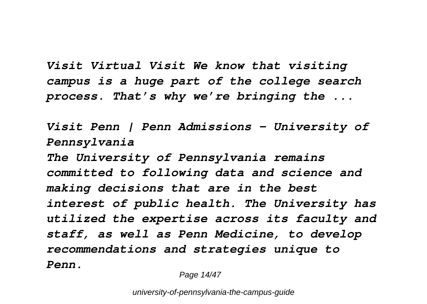*Visit Virtual Visit We know that visiting campus is a huge part of the college search process. That's why we're bringing the ...*

*Visit Penn | Penn Admissions - University of Pennsylvania The University of Pennsylvania remains committed to following data and science and making decisions that are in the best interest of public health. The University has utilized the expertise across its faculty and staff, as well as Penn Medicine, to develop recommendations and strategies unique to Penn.*

Page 14/47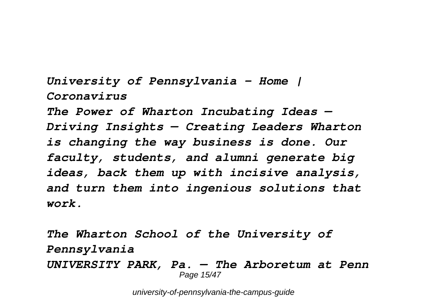*University of Pennsylvania - Home | Coronavirus The Power of Wharton Incubating Ideas — Driving Insights — Creating Leaders Wharton is changing the way business is done. Our faculty, students, and alumni generate big ideas, back them up with incisive analysis, and turn them into ingenious solutions that work.*

*The Wharton School of the University of Pennsylvania UNIVERSITY PARK, Pa. — The Arboretum at Penn* Page 15/47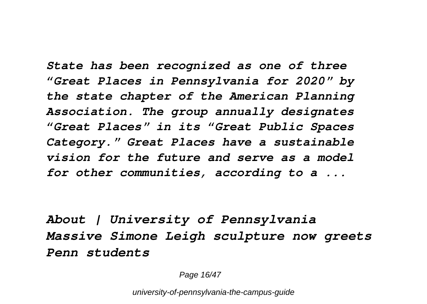*State has been recognized as one of three "Great Places in Pennsylvania for 2020" by the state chapter of the American Planning Association. The group annually designates "Great Places" in its "Great Public Spaces Category." Great Places have a sustainable vision for the future and serve as a model for other communities, according to a ...*

*About | University of Pennsylvania Massive Simone Leigh sculpture now greets Penn students*

Page 16/47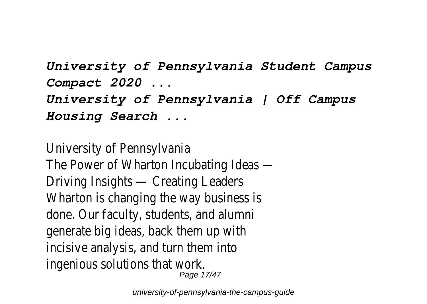*University of Pennsylvania Student Campus Compact 2020 ... University of Pennsylvania | Off Campus Housing Search ...*

University of Pennsylvania The Power of Wharton Incubating Ideas — Driving Insights — Creating Leaders Wharton is changing the way business is done. Our faculty, students, and alumni generate big ideas, back them up with incisive analysis, and turn them into ingenious solutions that work. Page 17/47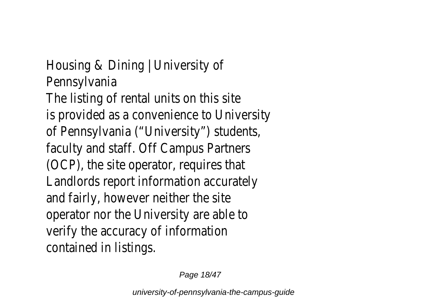Housing & Dining | University of Pennsylvania The listing of rental units on this site is provided as a convenience to University of Pennsylvania ("University") students, faculty and staff. Off Campus Partners (OCP), the site operator, requires that Landlords report information accurately and fairly, however neither the site operator nor the University are able to verify the accuracy of information contained in listings.

Page 18/47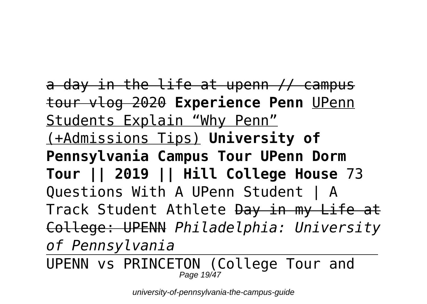a day in the life at upenn // campus tour vlog 2020 **Experience Penn** UPenn Students Explain "Why Penn" (+Admissions Tips) **University of Pennsylvania Campus Tour UPenn Dorm Tour || 2019 || Hill College House** 73 Questions With A UPenn Student | A Track Student Athlete Day in my Life at College: UPENN *Philadelphia: University of Pennsylvania*

UPENN vs PRINCETON (College Tour and Page 19/47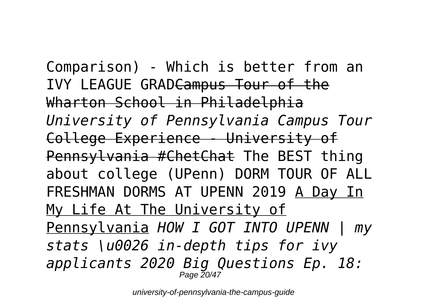Comparison) - Which is better from an IVY LEAGUE GRADCampus Tour of the Wharton School in Philadelphia *University of Pennsylvania Campus Tour* College Experience - University of Pennsylvania #ChetChat The BEST thing about college (UPenn) DORM TOUR OF ALL FRESHMAN DORMS AT UPENN 2019 A Day In My Life At The University of Pennsylvania *HOW I GOT INTO UPENN | my stats \u0026 in-depth tips for ivy applicants 2020 Big Questions Ep. 18:* Page 20/47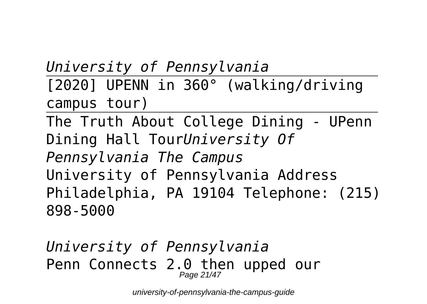*University of Pennsylvania* [2020] UPENN in 360° (walking/driving campus tour) The Truth About College Dining - UPenn Dining Hall Tour*University Of*

*Pennsylvania The Campus* University of Pennsylvania Address Philadelphia, PA 19104 Telephone: (215) 898-5000

*University of Pennsylvania* Penn Connects 2.0 then upped our Page 21/47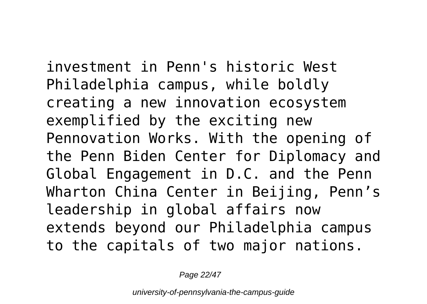investment in Penn's historic West Philadelphia campus, while boldly creating a new innovation ecosystem exemplified by the exciting new Pennovation Works. With the opening of the Penn Biden Center for Diplomacy and Global Engagement in D.C. and the Penn Wharton China Center in Beijing, Penn's leadership in global affairs now extends beyond our Philadelphia campus to the capitals of two major nations.

Page 22/47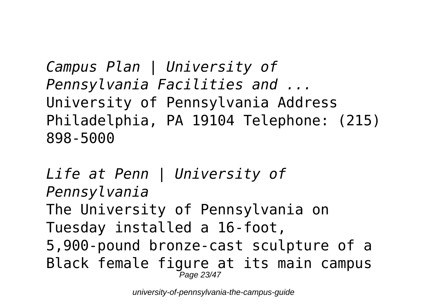*Campus Plan | University of Pennsylvania Facilities and ...* University of Pennsylvania Address Philadelphia, PA 19104 Telephone: (215) 898-5000

*Life at Penn | University of Pennsylvania* The University of Pennsylvania on Tuesday installed a 16-foot, 5,900-pound bronze-cast sculpture of a Black female figure at its main campus Page 23/47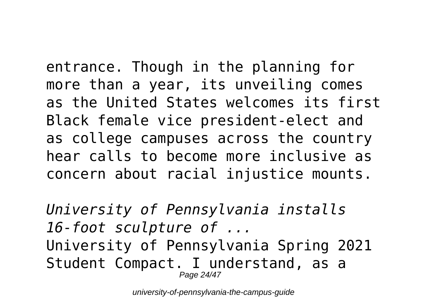entrance. Though in the planning for more than a year, its unveiling comes as the United States welcomes its first Black female vice president-elect and as college campuses across the country hear calls to become more inclusive as concern about racial injustice mounts.

*University of Pennsylvania installs 16-foot sculpture of ...* University of Pennsylvania Spring 2021 Student Compact. I understand, as a Page 24/47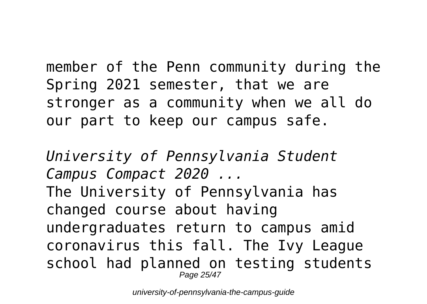member of the Penn community during the Spring 2021 semester, that we are stronger as a community when we all do our part to keep our campus safe.

*University of Pennsylvania Student Campus Compact 2020 ...* The University of Pennsylvania has changed course about having undergraduates return to campus amid coronavirus this fall. The Ivy League school had planned on testing students Page 25/47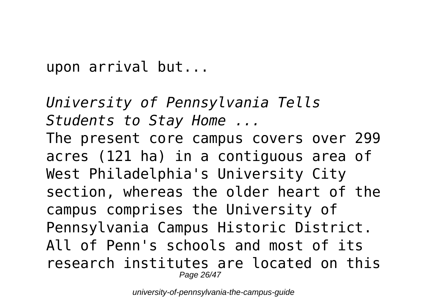upon arrival but...

*University of Pennsylvania Tells Students to Stay Home ...* The present core campus covers over 299 acres (121 ha) in a contiguous area of West Philadelphia's University City section, whereas the older heart of the campus comprises the University of Pennsylvania Campus Historic District. All of Penn's schools and most of its research institutes are located on this Page 26/47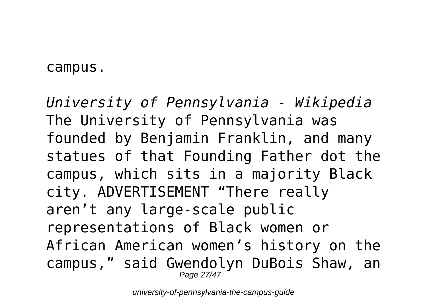### campus.

*University of Pennsylvania - Wikipedia* The University of Pennsylvania was founded by Benjamin Franklin, and many statues of that Founding Father dot the campus, which sits in a majority Black city. ADVERTISEMENT "There really aren't any large-scale public representations of Black women or African American women's history on the campus," said Gwendolyn DuBois Shaw, an Page 27/47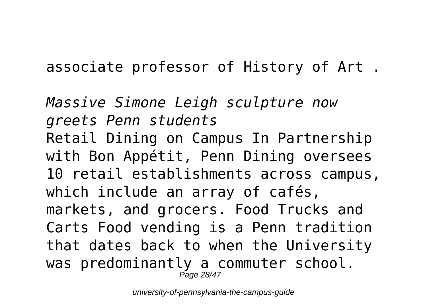associate professor of History of Art .

*Massive Simone Leigh sculpture now greets Penn students* Retail Dining on Campus In Partnership with Bon Appétit, Penn Dining oversees 10 retail establishments across campus, which include an array of cafés, markets, and grocers. Food Trucks and Carts Food vending is a Penn tradition that dates back to when the University was predominantly a commuter school. Page 28/47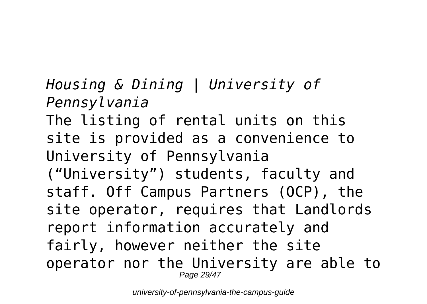*Housing & Dining | University of Pennsylvania* The listing of rental units on this site is provided as a convenience to University of Pennsylvania ("University") students, faculty and staff. Off Campus Partners (OCP), the site operator, requires that Landlords report information accurately and fairly, however neither the site operator nor the University are able to Page 29/47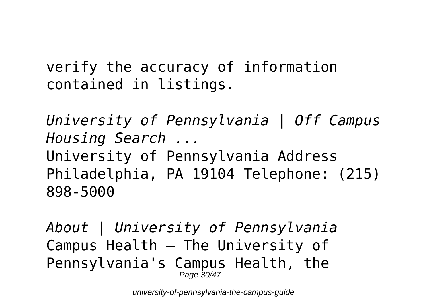verify the accuracy of information contained in listings.

*University of Pennsylvania | Off Campus Housing Search ...* University of Pennsylvania Address Philadelphia, PA 19104 Telephone: (215) 898-5000

*About | University of Pennsylvania* Campus Health – The University of Pennsylvania's Campus Health, the Page 30/47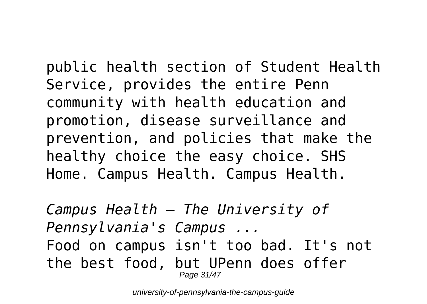public health section of Student Health Service, provides the entire Penn community with health education and promotion, disease surveillance and prevention, and policies that make the healthy choice the easy choice. SHS Home. Campus Health. Campus Health.

*Campus Health – The University of Pennsylvania's Campus ...* Food on campus isn't too bad. It's not the best food, but UPenn does offer Page 31/47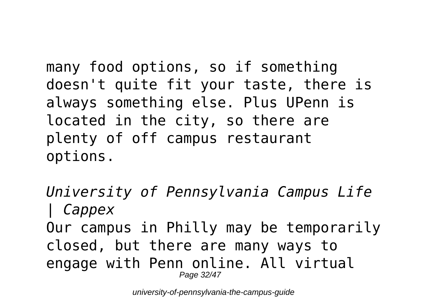many food options, so if something doesn't quite fit your taste, there is always something else. Plus UPenn is located in the city, so there are plenty of off campus restaurant options.

*University of Pennsylvania Campus Life | Cappex* Our campus in Philly may be temporarily closed, but there are many ways to engage with Penn online. All virtual Page 32/47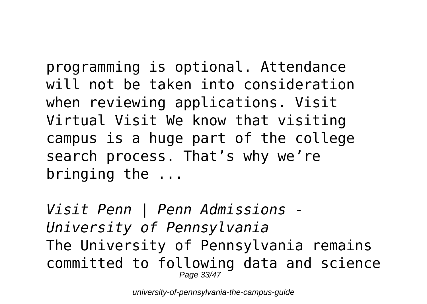programming is optional. Attendance will not be taken into consideration when reviewing applications. Visit Virtual Visit We know that visiting campus is a huge part of the college search process. That's why we're bringing the ...

*Visit Penn | Penn Admissions - University of Pennsylvania* The University of Pennsylvania remains committed to following data and science Page 33/47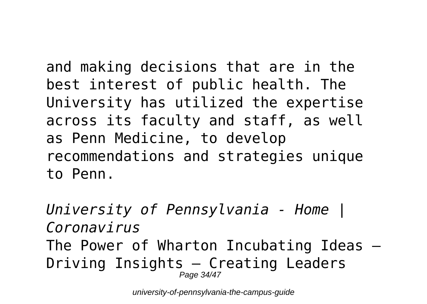and making decisions that are in the best interest of public health. The University has utilized the expertise across its faculty and staff, as well as Penn Medicine, to develop recommendations and strategies unique to Penn.

*University of Pennsylvania - Home | Coronavirus* The Power of Wharton Incubating Ideas — Driving Insights — Creating Leaders Page 34/47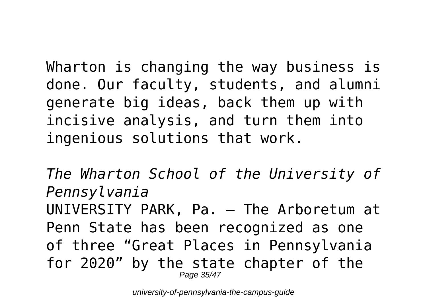Wharton is changing the way business is done. Our faculty, students, and alumni generate big ideas, back them up with incisive analysis, and turn them into ingenious solutions that work.

*The Wharton School of the University of Pennsylvania* UNIVERSITY PARK, Pa. — The Arboretum at Penn State has been recognized as one of three "Great Places in Pennsylvania for 2020" by the state chapter of the Page 35/47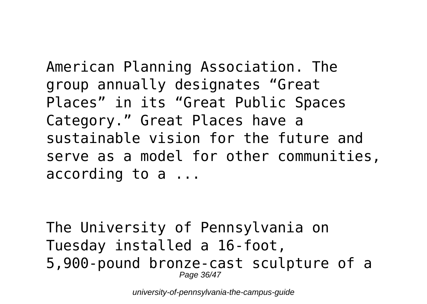American Planning Association. The group annually designates "Great Places" in its "Great Public Spaces Category." Great Places have a sustainable vision for the future and serve as a model for other communities, according to a ...

The University of Pennsylvania on Tuesday installed a 16-foot, 5,900-pound bronze-cast sculpture of a Page 36/47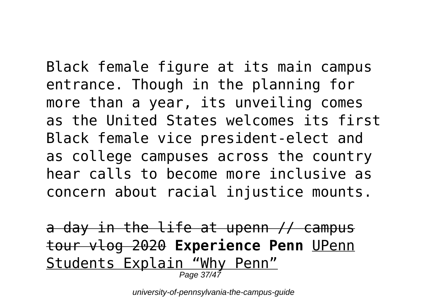Black female figure at its main campus entrance. Though in the planning for more than a year, its unveiling comes as the United States welcomes its first Black female vice president-elect and as college campuses across the country hear calls to become more inclusive as concern about racial injustice mounts.

a day in the life at upenn // campus tour vlog 2020 **Experience Penn** UPenn Students Explain "Why Penn" Page  $37/4$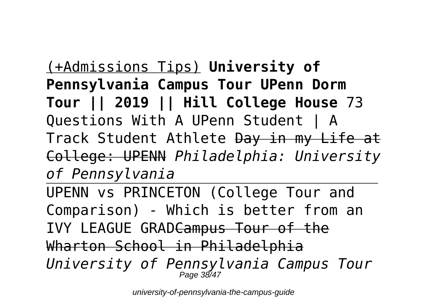(+Admissions Tips) **University of Pennsylvania Campus Tour UPenn Dorm Tour || 2019 || Hill College House** 73 Questions With A UPenn Student | A Track Student Athlete Day in my Life at College: UPENN *Philadelphia: University of Pennsylvania*

UPENN vs PRINCETON (College Tour and Comparison) - Which is better from an IVY LEAGUE GRADCampus Tour of the Wharton School in Philadelphia *University of Pennsylvania Campus Tour* Page 38/47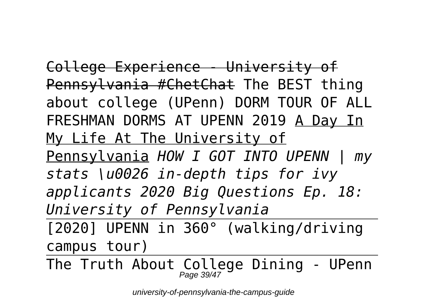College Experience - University of Pennsylvania #ChetChat The BEST thing about college (UPenn) DORM TOUR OF ALL FRESHMAN DORMS AT UPENN 2019 A Day In My Life At The University of Pennsylvania *HOW I GOT INTO UPENN | my stats \u0026 in-depth tips for ivy applicants 2020 Big Questions Ep. 18: University of Pennsylvania* [2020] UPENN in 360° (walking/driving

campus tour)

The Truth About College Dining - UPenn Page 39/47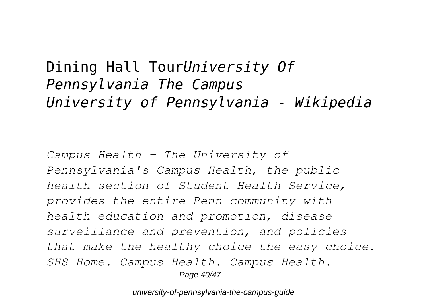### Dining Hall Tour*University Of Pennsylvania The Campus University of Pennsylvania - Wikipedia*

*Campus Health – The University of Pennsylvania's Campus Health, the public health section of Student Health Service, provides the entire Penn community with health education and promotion, disease surveillance and prevention, and policies that make the healthy choice the easy choice. SHS Home. Campus Health. Campus Health.* Page 40/47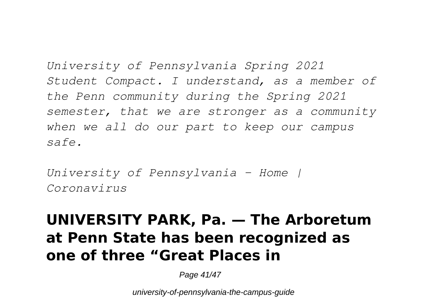*University of Pennsylvania Spring 2021 Student Compact. I understand, as a member of the Penn community during the Spring 2021 semester, that we are stronger as a community when we all do our part to keep our campus safe.*

*University of Pennsylvania - Home | Coronavirus*

## **UNIVERSITY PARK, Pa. — The Arboretum at Penn State has been recognized as one of three "Great Places in**

Page 41/47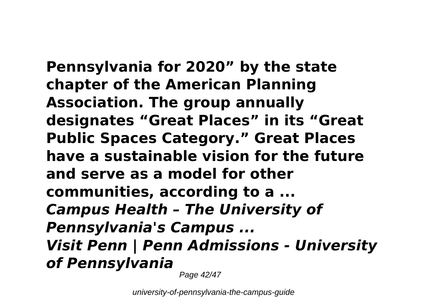**Pennsylvania for 2020" by the state chapter of the American Planning Association. The group annually designates "Great Places" in its "Great Public Spaces Category." Great Places have a sustainable vision for the future and serve as a model for other communities, according to a ...** *Campus Health – The University of Pennsylvania's Campus ... Visit Penn | Penn Admissions - University of Pennsylvania*

Page 42/47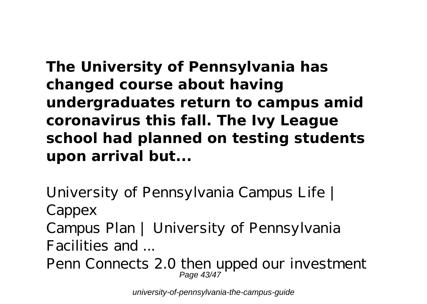**The University of Pennsylvania has changed course about having undergraduates return to campus amid coronavirus this fall. The Ivy League school had planned on testing students upon arrival but...**

*University of Pennsylvania Campus Life | Cappex Campus Plan | University of Pennsylvania Facilities and ...*

Penn Connects 2.0 then upped our investment Page 43/47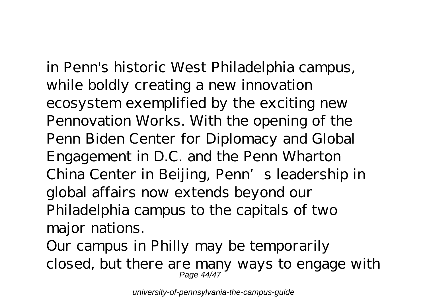in Penn's historic West Philadelphia campus, while boldly creating a new innovation ecosystem exemplified by the exciting new Pennovation Works. With the opening of the Penn Biden Center for Diplomacy and Global Engagement in D.C. and the Penn Wharton China Center in Beijing, Penn's leadership in global affairs now extends beyond our Philadelphia campus to the capitals of two major nations.

Our campus in Philly may be temporarily closed, but there are many ways to engage with Page 44/47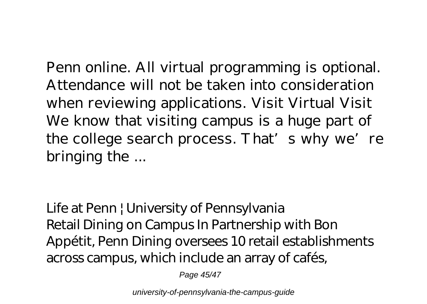Penn online. All virtual programming is optional. Attendance will not be taken into consideration when reviewing applications. Visit Virtual Visit We know that visiting campus is a huge part of the college search process. That's why we're bringing the ...

*Life at Penn | University of Pennsylvania* Retail Dining on Campus In Partnership with Bon Appétit, Penn Dining oversees 10 retail establishments across campus, which include an array of cafés,

Page 45/47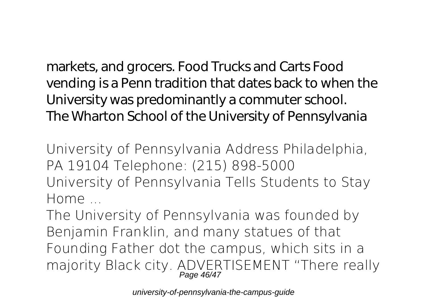markets, and grocers. Food Trucks and Carts Food vending is a Penn tradition that dates back to when the University was predominantly a commuter school. *The Wharton School of the University of Pennsylvania*

University of Pennsylvania Address Philadelphia, PA 19104 Telephone: (215) 898-5000 *University of Pennsylvania Tells Students to Stay Home ...*

The University of Pennsylvania was founded by Benjamin Franklin, and many statues of that Founding Father dot the campus, which sits in a majority Black city. ADVERTISEMENT "There really